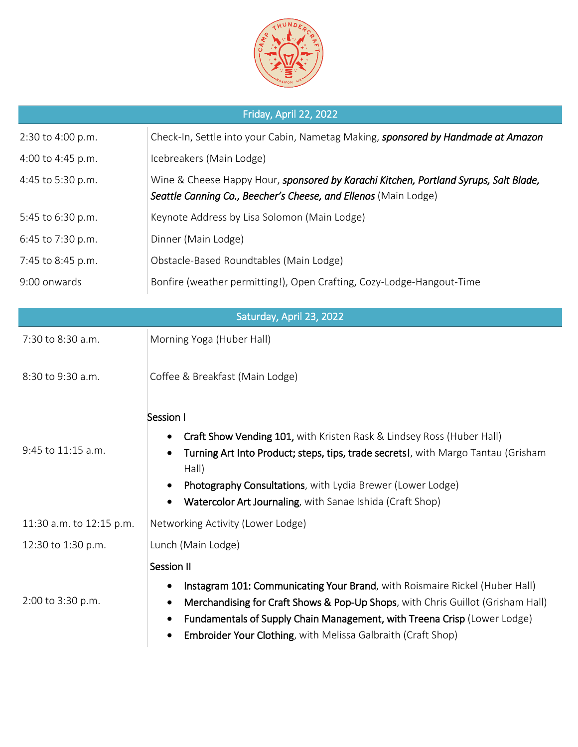

|  | Friday, April 22, 2022 |
|--|------------------------|
|  |                        |
|  |                        |

| 2:30 to 4:00 p.m.        | Check-In, Settle into your Cabin, Nametag Making, sponsored by Handmade at Amazon                                                                                                                                                                                                                                        |  |  |
|--------------------------|--------------------------------------------------------------------------------------------------------------------------------------------------------------------------------------------------------------------------------------------------------------------------------------------------------------------------|--|--|
| 4:00 to 4:45 p.m.        | Icebreakers (Main Lodge)                                                                                                                                                                                                                                                                                                 |  |  |
| 4:45 to 5:30 p.m.        | Wine & Cheese Happy Hour, sponsored by Karachi Kitchen, Portland Syrups, Salt Blade,<br>Seattle Canning Co., Beecher's Cheese, and Ellenos (Main Lodge)                                                                                                                                                                  |  |  |
| 5:45 to 6:30 p.m.        | Keynote Address by Lisa Solomon (Main Lodge)                                                                                                                                                                                                                                                                             |  |  |
| 6:45 to 7:30 p.m.        | Dinner (Main Lodge)                                                                                                                                                                                                                                                                                                      |  |  |
| 7:45 to 8:45 p.m.        | Obstacle-Based Roundtables (Main Lodge)                                                                                                                                                                                                                                                                                  |  |  |
| 9:00 onwards             | Bonfire (weather permitting!), Open Crafting, Cozy-Lodge-Hangout-Time                                                                                                                                                                                                                                                    |  |  |
| Saturday, April 23, 2022 |                                                                                                                                                                                                                                                                                                                          |  |  |
| 7:30 to 8:30 a.m.        | Morning Yoga (Huber Hall)                                                                                                                                                                                                                                                                                                |  |  |
| 8:30 to 9:30 a.m.        | Coffee & Breakfast (Main Lodge)                                                                                                                                                                                                                                                                                          |  |  |
| 9:45 to 11:15 a.m.       | Session I<br>Craft Show Vending 101, with Kristen Rask & Lindsey Ross (Huber Hall)<br>Turning Art Into Product; steps, tips, trade secrets!, with Margo Tantau (Grisham<br>Hall)<br>Photography Consultations, with Lydia Brewer (Lower Lodge)<br>Watercolor Art Journaling, with Sanae Ishida (Craft Shop)              |  |  |
| 11:30 a.m. to 12:15 p.m. | Networking Activity (Lower Lodge)                                                                                                                                                                                                                                                                                        |  |  |
| 12:30 to 1:30 p.m.       | Lunch (Main Lodge)                                                                                                                                                                                                                                                                                                       |  |  |
| 2:00 to 3:30 p.m.        | Session II<br>Instagram 101: Communicating Your Brand, with Roismaire Rickel (Huber Hall)<br>Merchandising for Craft Shows & Pop-Up Shops, with Chris Guillot (Grisham Hall)<br>Fundamentals of Supply Chain Management, with Treena Crisp (Lower Lodge)<br>Embroider Your Clothing, with Melissa Galbraith (Craft Shop) |  |  |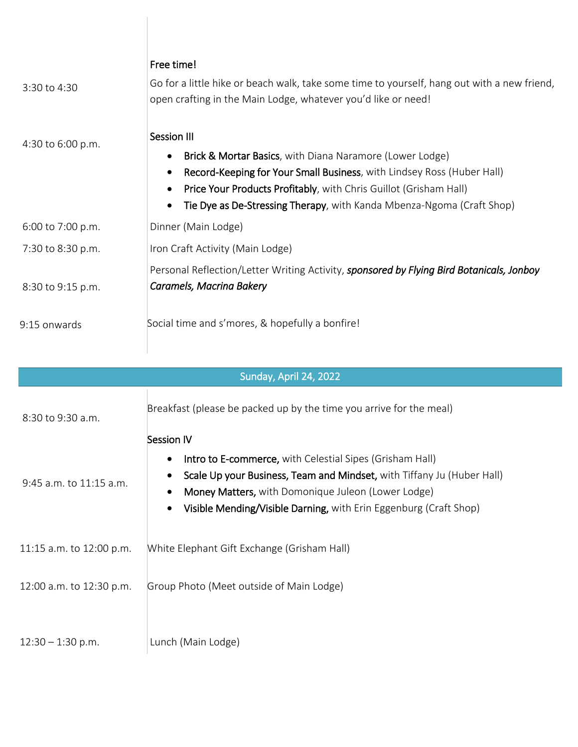|                   | Free time!                                                                                                                                                   |  |
|-------------------|--------------------------------------------------------------------------------------------------------------------------------------------------------------|--|
| 3:30 to 4:30      | Go for a little hike or beach walk, take some time to yourself, hang out with a new friend,<br>open crafting in the Main Lodge, whatever you'd like or need! |  |
| 4:30 to 6:00 p.m. | Session III                                                                                                                                                  |  |
|                   | Brick & Mortar Basics, with Diana Naramore (Lower Lodge)                                                                                                     |  |
|                   | Record-Keeping for Your Small Business, with Lindsey Ross (Huber Hall)<br>$\bullet$                                                                          |  |
|                   | Price Your Products Profitably, with Chris Guillot (Grisham Hall)                                                                                            |  |
|                   | Tie Dye as De-Stressing Therapy, with Kanda Mbenza-Ngoma (Craft Shop)                                                                                        |  |
| 6:00 to 7:00 p.m. | Dinner (Main Lodge)                                                                                                                                          |  |
| 7:30 to 8:30 p.m. | Iron Craft Activity (Main Lodge)                                                                                                                             |  |
|                   | Personal Reflection/Letter Writing Activity, sponsored by Flying Bird Botanicals, Jonboy                                                                     |  |
| 8:30 to 9:15 p.m. | Caramels, Macrina Bakery                                                                                                                                     |  |
| 9:15 onwards      | Social time and s'mores, & hopefully a bonfire!                                                                                                              |  |

| Sunday, April 24, 2022      |                                                                                                                                                                                                                                                                                                                   |  |
|-----------------------------|-------------------------------------------------------------------------------------------------------------------------------------------------------------------------------------------------------------------------------------------------------------------------------------------------------------------|--|
| 8:30 to 9:30 a.m.           | Breakfast (please be packed up by the time you arrive for the meal)                                                                                                                                                                                                                                               |  |
| $9:45$ a.m. to $11:15$ a.m. | Session IV<br><b>Intro to E-commerce, with Celestial Sipes (Grisham Hall)</b><br>٠<br>Scale Up your Business, Team and Mindset, with Tiffany Ju (Huber Hall)<br>$\bullet$<br>Money Matters, with Domonique Juleon (Lower Lodge)<br>$\bullet$<br>Visible Mending/Visible Darning, with Erin Eggenburg (Craft Shop) |  |
| 11:15 a.m. to 12:00 p.m.    | White Elephant Gift Exchange (Grisham Hall)                                                                                                                                                                                                                                                                       |  |
| 12:00 a.m. to 12:30 p.m.    | Group Photo (Meet outside of Main Lodge)                                                                                                                                                                                                                                                                          |  |
| $12:30 - 1:30$ p.m.         | Lunch (Main Lodge)                                                                                                                                                                                                                                                                                                |  |